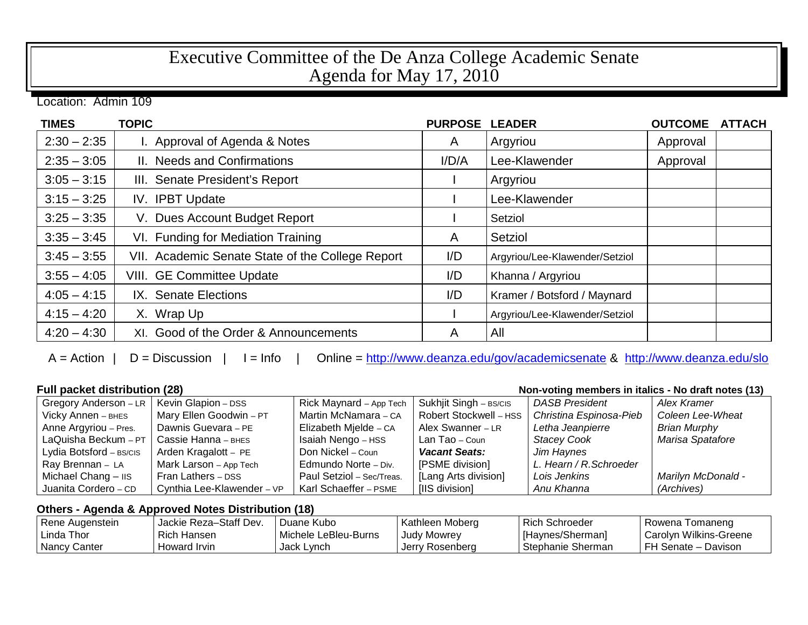## Executive Committee of the De Anza College Academic Senate Agenda for May 17, 2010

Location: Admin 109

| <b>TIMES</b>  | <b>TOPIC</b>                                     | <b>PURPOSE</b> | <b>LEADER</b>                  | <b>OUTCOME</b> | <b>ATTACH</b> |
|---------------|--------------------------------------------------|----------------|--------------------------------|----------------|---------------|
| $2:30 - 2:35$ | I. Approval of Agenda & Notes                    | $\mathsf{A}$   | Argyriou                       | Approval       |               |
| $2:35 - 3:05$ | II. Needs and Confirmations                      | I/D/A          | Lee-Klawender                  | Approval       |               |
| $3:05 - 3:15$ | III. Senate President's Report                   |                | Argyriou                       |                |               |
| $3:15 - 3:25$ | IV. IPBT Update                                  |                | Lee-Klawender                  |                |               |
| $3:25 - 3:35$ | V. Dues Account Budget Report                    |                | Setziol                        |                |               |
| $3:35 - 3:45$ | VI. Funding for Mediation Training               | A              | Setziol                        |                |               |
| $3:45 - 3:55$ | VII. Academic Senate State of the College Report | I/D            | Argyriou/Lee-Klawender/Setziol |                |               |
| $3:55 - 4:05$ | VIII. GE Committee Update                        | I/D            | Khanna / Argyriou              |                |               |
| $4:05 - 4:15$ | IX. Senate Elections                             | I/D            | Kramer / Botsford / Maynard    |                |               |
| $4:15 - 4:20$ | X. Wrap Up                                       |                | Argyriou/Lee-Klawender/Setziol |                |               |
| $4:20 - 4:30$ | XI. Good of the Order & Announcements            | A              | All                            |                |               |

A = Action | D = Discussion | I = Info | Online =<http://www.deanza.edu/gov/academicsenate> & <http://www.deanza.edu/slo>

| <b>Full packet distribution (28)</b><br>Non-voting members in italics - No draft notes (13) |                            |                           |                        |                         |                           |
|---------------------------------------------------------------------------------------------|----------------------------|---------------------------|------------------------|-------------------------|---------------------------|
| Gregory Anderson - LR                                                                       | Kevin Glapion - DSS        | Rick Maynard - App Tech   | Sukhjit Singh - BS/CIS | <b>DASB President</b>   | Alex Kramer               |
| Vicky Annen - BHES                                                                          | Mary Ellen Goodwin - PT    | Martin McNamara - CA      | Robert Stockwell - HSS | Christina Espinosa-Pieb | Coleen Lee-Wheat          |
| Anne Argyriou - Pres.                                                                       | Dawnis Guevara - PE        | Elizabeth Mielde - CA     | Alex Swanner - LR      | Letha Jeanpierre        | <b>Brian Murphy</b>       |
| LaQuisha Beckum - PT                                                                        | Cassie Hanna - внеs        | Isaiah Nengo - HSS        | Lan Tao - Coun         | <b>Stacey Cook</b>      | Marisa Spatafore          |
| Lydia Botsford - BS/CIS                                                                     | Arden Kragalott - PE       | Don Nickel – Coun         | <b>Vacant Seats:</b>   | Jim Haynes              |                           |
| Ray Brennan - LA                                                                            | Mark Larson - App Tech     | Edmundo Norte - Div.      | [PSME division]        | L. Hearn / R. Schroeder |                           |
| Michael Chang - IIS                                                                         | Fran Lathers - DSS         | Paul Setziol - Sec/Treas. | [Lang Arts division]   | Lois Jenkins            | <b>Marilyn McDonald -</b> |
| Juanita Cordero - CD                                                                        | Cynthia Lee-Klawender - VP | Karl Schaeffer - PSME     | [IIS division]         | Anu Khanna              | (Archives)                |

## **Others - Agenda & Approved Notes Distribution (18)**

| l Rene Augenstein | Jackie Reza-Staff Dev. | Duane Kubo           | Kathleen Moberg | Rich Schroeder           | Rowena Tomaneng          |
|-------------------|------------------------|----------------------|-----------------|--------------------------|--------------------------|
| l Linda Thor      | Rich Hansen            | Michele LeBleu-Burns | Judy Mowrey     | l [Havnes/Sherman]       | □ Carol∨n Wilkins-Greene |
| Nancy Canter      | Howard Irvin           | Jack Lynch           | Jerry Rosenberg | <b>Stephanie Sherman</b> | l FH Senate – Davison    |